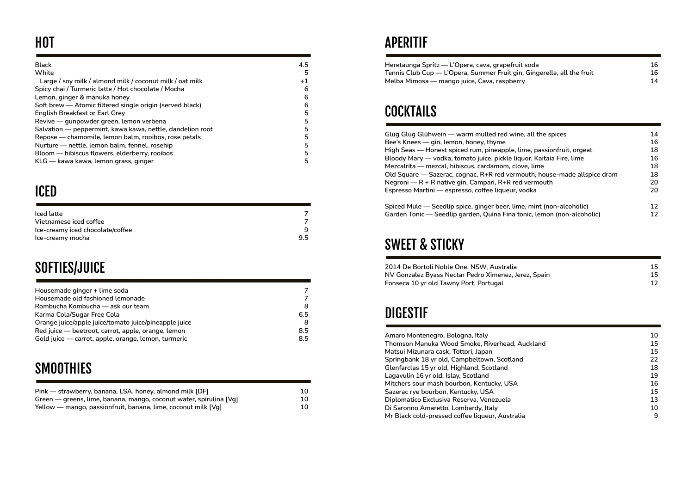#### HOT

| <b>Black</b>                                              | 4.5         |
|-----------------------------------------------------------|-------------|
| White                                                     | 5           |
| Large / soy milk / almond milk / coconut milk / oat milk  | $^{\rm +1}$ |
| Spicy chai / Turmeric latte / Hot chocolate / Mocha       | 6           |
| Lemon, ginger & mānuka honey                              | 6           |
| Soft brew — Atomic filtered single origin (served black)  | 6           |
| <b>English Breakfast or Earl Grey</b>                     | 5           |
| Revive — gunpowder green, lemon verbena                   | 5           |
| Salvation — peppermint, kawa kawa, nettle, dandelion root | 5           |
| Repose - chamomile, lemon balm, rooibos, rose petals      | 5           |
| Nurture — nettle, lemon balm, fennel, rosehip             | 5           |
| Bloom — hibiscus flowers, elderberry, rooibos             | 5           |
| KLG — kawa kawa, lemon grass, ginger                      | 5           |

## ICED

| Iced latte                       |     |
|----------------------------------|-----|
| Vietnamese iced coffee           |     |
| Ice-creamy iced chocolate/coffee | q   |
| Ice-creamy mocha                 | 9.5 |

# SOFTIES/JUICE

| Housemade ginger + lime soda                          | 7   |
|-------------------------------------------------------|-----|
| Housemade old fashioned lemonade                      | 7   |
| Rombucha Kombucha — ask our team                      | 8   |
| Karma Cola/Sugar Free Cola                            | 6.5 |
| Orange juice/apple juice/tomato juice/pineapple juice | 8   |
| Red juice - beetroot, carrot, apple, orange, lemon    | 8.5 |
| Gold juice — carrot, apple, orange, lemon, turmeric   | 8.5 |

### **SMOOTHIES**

| Pink — strawberry, banana, LSA, honey, almond milk [DF]            | 10 |
|--------------------------------------------------------------------|----|
| Green — greens, lime, banana, mango, coconut water, spirulina [Vg] | 10 |
| Yellow — mango, passionfruit, banana, lime, coconut milk [Vg]      | 10 |

#### A P E RITIF

| Heretaunga Spritz — L'Opera, cava, grapefruit soda                     | 16 |
|------------------------------------------------------------------------|----|
| Tennis Club Cup — L'Opera, Summer Fruit gin, Gingerella, all the fruit | 16 |
| Melba Mimosa — mango juice, Cava, raspberry                            | 14 |

#### **COCKTAILS**

| Glug Glug Glühwein — warm mulled red wine, all the spices                | 14  |
|--------------------------------------------------------------------------|-----|
| Bee's Knees — gin, lemon, honey, thyme                                   | 16  |
| High Seas — Honest spiced rum, pineapple, lime, passionfruit, orgeat     | 18  |
| Bloody Mary — vodka, tomato juice, pickle liquor, Kaitaia Fire, lime     | 16  |
| Mezcalrita — mezcal, hibiscus, cardamom, clove, lime                     | 18  |
| Old Square — Sazerac, cognac, R+R red vermouth, house-made allspice dram | 18  |
| Negroni — $R + R$ native gin, Campari, $R + R$ red vermouth              | 20  |
| Espresso Martini — espresso, coffee liqueur, vodka                       | 20  |
| Spiced Mule — Seedlip spice, ginger beer, lime, mint (non-alcoholic)     | 12. |
| Garden Tonic — Seedlip garden, Quina Fina tonic, lemon (non-alcoholic)   | 12  |

#### SWEET & STICKY

| 2014 De Bortoli Noble One, NSW, Australia            | 15 |
|------------------------------------------------------|----|
| NV Gonzalez Byass Nectar Pedro Ximenez, Jerez, Spain | 15 |
| Fonseca 10 vr old Tawny Port. Portugal               | 12 |

## DIGESTIF

| Amaro Montenegro, Bologna, Italy                | 10 |
|-------------------------------------------------|----|
| Thomson Manuka Wood Smoke, Riverhead, Auckland  | 15 |
| Matsui Mizunara cask, Tottori, Japan            | 15 |
| Springbank 18 yr old, Campbeltown, Scotland     | 22 |
| Glenfarclas 15 yr old, Highland, Scotland       | 18 |
| Lagavulin 16 yr old, Islay, Scotland            | 19 |
| Mitchers sour mash bourbon, Kentucky, USA       | 16 |
| Sazerac rye bourbon, Kentucky, USA              | 15 |
| Diplomatico Exclusiva Reserva, Venezuela        | 13 |
| Di Saronno Amaretto, Lombardy, Italy            | 10 |
| Mr Black cold-pressed coffee liqueur, Australia | 9  |